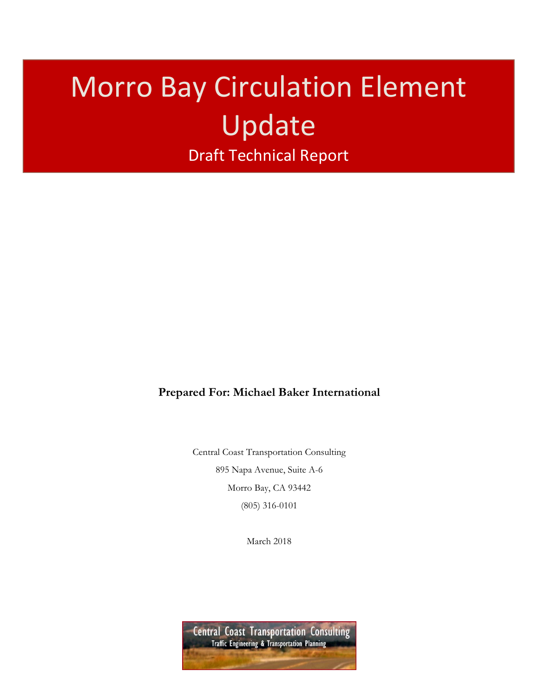# Morro Bay Circulation Element Update Draft Technical Report

**Prepared For: Michael Baker International** 

Central Coast Transportation Consulting 895 Napa Avenue, Suite A-6 Morro Bay, CA 93442 (805) 316-0101

March 2018

**Central Coast Transportation Consulting** Traffic Engineering & Transportation Planning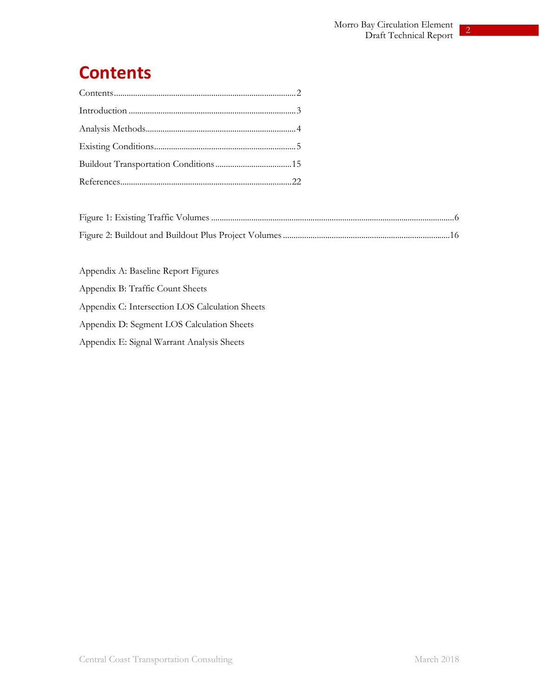## **Contents**

Appendix A: Baseline Report Figures Appendix B: Traffic Count Sheets

Appendix C: Intersection LOS Calculation Sheets

Appendix D: Segment LOS Calculation Sheets

Appendix E: Signal Warrant Analysis Sheets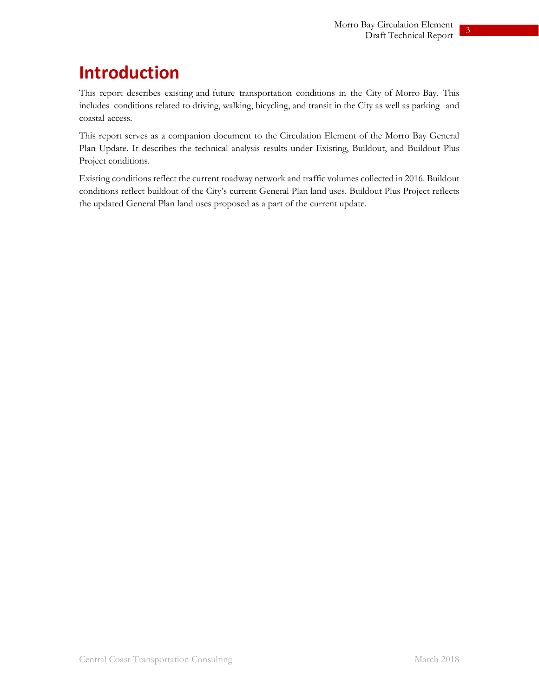# **Introduction**

This report describes existing and future transportation conditions in the City of Morro Bay. This includes conditions related to driving, walking, bicycling, and transit in the City as well as parking and coastal access.

This report serves as a companion document to the Circulation Element of the Morro Bay General Plan Update. It describes the technical analysis results under Existing, Buildout, and Buildout Plus Project conditions.

Existing conditions reflect the current roadway network and traffic volumes collected in 2016. Buildout conditions reflect buildout of the City's current General Plan land uses. Buildout Plus Project reflects the updated General Plan land uses proposed as a part of the current update.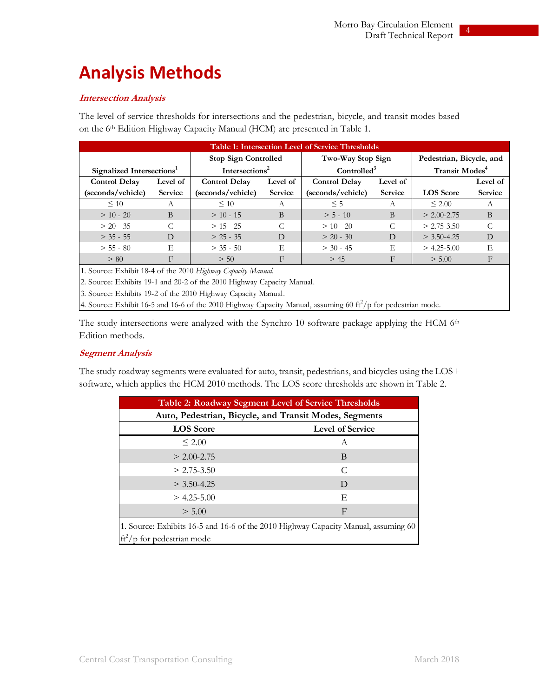# **Analysis Methods**

#### **Intersection Analysis**

The level of service thresholds for intersections and the pedestrian, bicycle, and transit modes based on the 6th Edition Highway Capacity Manual (HCM) are presented in Table 1.

| Table 1: Intersection Level of Service Thresholds |                             |                                                              |          |                          |                |                            |                |  |  |  |  |  |  |
|---------------------------------------------------|-----------------------------|--------------------------------------------------------------|----------|--------------------------|----------------|----------------------------|----------------|--|--|--|--|--|--|
|                                                   | <b>Stop Sign Controlled</b> | Two-Way Stop Sign                                            |          | Pedestrian, Bicycle, and |                |                            |                |  |  |  |  |  |  |
| Signalized Intersections <sup>1</sup>             |                             | Intersections <sup>2</sup>                                   |          | Controlled <sup>3</sup>  |                | Transit Modes <sup>4</sup> |                |  |  |  |  |  |  |
| <b>Control Delay</b>                              | Level of                    | <b>Control Delay</b>                                         | Level of | <b>Control Delay</b>     | Level of       |                            | Level of       |  |  |  |  |  |  |
| (seconds/vehicle)                                 | Service                     | (seconds/vehicle)                                            | Service  | (seconds/vehicle)        | <b>Service</b> | <b>LOS</b> Score           | <b>Service</b> |  |  |  |  |  |  |
| $\leq 10$                                         | A                           | $\leq 10$                                                    | А        | $\leq$ 5                 | A              | $\leq 2.00$                |                |  |  |  |  |  |  |
| $> 10 - 20$                                       | <sub>B</sub>                | $> 10 - 15$                                                  | B        | $> 5 - 10$               | B              | $> 2.00 - 2.75$            | B              |  |  |  |  |  |  |
| $> 20 - 35$                                       |                             | $> 15 - 25$                                                  |          | $> 10 - 20$              | C              | $> 2.75 - 3.50$            |                |  |  |  |  |  |  |
| $>$ 35 - 55                                       | D                           | $> 25 - 35$                                                  | D        | $> 20 - 30$              | D              | $>$ 3.50-4.25              | D              |  |  |  |  |  |  |
| $> 55 - 80$                                       | E                           | $>$ 35 - 50                                                  | E        | $>$ 30 - 45              | E              | $> 4.25 - 5.00$            | E              |  |  |  |  |  |  |
| > 80                                              | F                           | > 50                                                         | F        | > 45                     | F              | > 5.00                     | F              |  |  |  |  |  |  |
|                                                   |                             | 1. Source: Exhibit 18-4 of the 2010 Highway Capacity Manual. |          |                          |                |                            |                |  |  |  |  |  |  |

2. Source: Exhibits 19-1 and 20-2 of the 2010 Highway Capacity Manual.

3. Source: Exhibits 19-2 of the 2010 Highway Capacity Manual.

4. Source: Exhibit 16-5 and 16-6 of the 2010 Highway Capacity Manual, assuming 60 ft $^2/p$  for pedestrian mode.

The study intersections were analyzed with the Synchro 10 software package applying the HCM 6<sup>th</sup> Edition methods.

#### **Segment Analysis**

The study roadway segments were evaluated for auto, transit, pedestrians, and bicycles using the LOS+ software, which applies the HCM 2010 methods. The LOS score thresholds are shown in Table 2.

| Table 2: Roadway Segment Level of Service Thresholds   |                                                                                    |  |  |  |  |  |  |  |  |
|--------------------------------------------------------|------------------------------------------------------------------------------------|--|--|--|--|--|--|--|--|
| Auto, Pedestrian, Bicycle, and Transit Modes, Segments |                                                                                    |  |  |  |  |  |  |  |  |
| <b>LOS</b> Score<br><b>Level of Service</b>            |                                                                                    |  |  |  |  |  |  |  |  |
| $\leq 2.00$                                            | A                                                                                  |  |  |  |  |  |  |  |  |
| $> 2.00 - 2.75$                                        | B                                                                                  |  |  |  |  |  |  |  |  |
| $> 2.75 - 3.50$                                        | C                                                                                  |  |  |  |  |  |  |  |  |
| $>$ 3.50-4.25                                          | D                                                                                  |  |  |  |  |  |  |  |  |
| $> 4.25 - 5.00$                                        | E                                                                                  |  |  |  |  |  |  |  |  |
| > 5.00                                                 | $\mathbf{F}$                                                                       |  |  |  |  |  |  |  |  |
|                                                        | 1. Source: Exhibits 16-5 and 16-6 of the 2010 Highway Capacity Manual, assuming 60 |  |  |  |  |  |  |  |  |
| $\text{ft}^2$ /p for pedestrian mode                   |                                                                                    |  |  |  |  |  |  |  |  |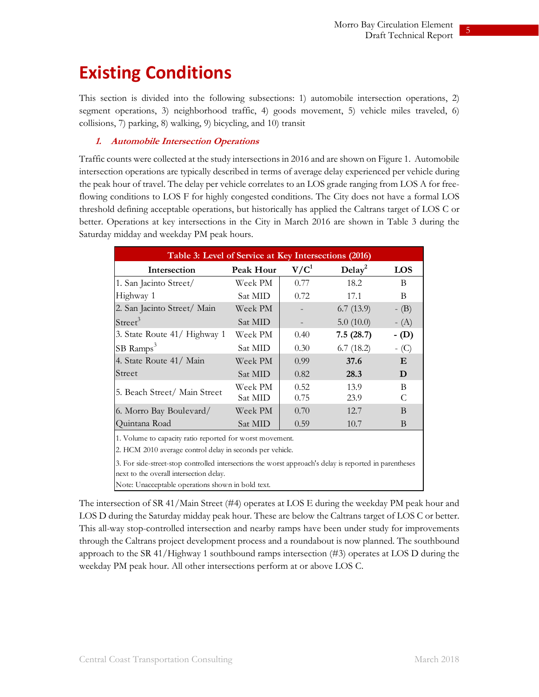### **Existing Conditions**

This section is divided into the following subsections: 1) automobile intersection operations, 2) segment operations, 3) neighborhood traffic, 4) goods movement, 5) vehicle miles traveled, 6) collisions, 7) parking, 8) walking, 9) bicycling, and 10) transit

#### **1. Automobile Intersection Operations**

Traffic counts were collected at the study intersections in 2016 and are shown on Figure 1. Automobile intersection operations are typically described in terms of average delay experienced per vehicle during the peak hour of travel. The delay per vehicle correlates to an LOS grade ranging from LOS A for freeflowing conditions to LOS F for highly congested conditions. The City does not have a formal LOS threshold defining acceptable operations, but historically has applied the Caltrans target of LOS C or better. Operations at key intersections in the City in March 2016 are shown in Table 3 during the Saturday midday and weekday PM peak hours.

| Table 3: Level of Service at Key Intersections (2016)                                                  |           |                  |                    |         |  |  |  |  |  |  |  |  |
|--------------------------------------------------------------------------------------------------------|-----------|------------------|--------------------|---------|--|--|--|--|--|--|--|--|
| Intersection                                                                                           | Peak Hour | V/C <sup>1</sup> | Delay <sup>2</sup> | LOS     |  |  |  |  |  |  |  |  |
| 1. San Jacinto Street/                                                                                 | Week PM   | 0.77             | 18.2               | B       |  |  |  |  |  |  |  |  |
| Highway 1                                                                                              | Sat MID   | 0.72             | 17.1               | B       |  |  |  |  |  |  |  |  |
| 2. San Jacinto Street/ Main                                                                            | Week PM   |                  | 6.7(13.9)          | $-$ (B) |  |  |  |  |  |  |  |  |
| Street <sup>3</sup>                                                                                    | Sat MID   |                  | 5.0(10.0)          | $-$ (A) |  |  |  |  |  |  |  |  |
| 3. State Route 41/ Highway 1                                                                           | Week PM   | 0.40             | 7.5(28.7)          | $-$ (D) |  |  |  |  |  |  |  |  |
| SB Ramps <sup>3</sup>                                                                                  | Sat MID   | 0.30             | 6.7(18.2)          | $-$ (C) |  |  |  |  |  |  |  |  |
| 4. State Route 41/ Main                                                                                | Week PM   | 0.99             | 37.6               | E       |  |  |  |  |  |  |  |  |
| Street                                                                                                 | Sat MID   | 0.82             | 28.3               | D       |  |  |  |  |  |  |  |  |
| 5. Beach Street/ Main Street                                                                           | Week PM   | 0.52             | 13.9               | B       |  |  |  |  |  |  |  |  |
|                                                                                                        | Sat MID   | 0.75             | 23.9               | C       |  |  |  |  |  |  |  |  |
| 6. Morro Bay Boulevard/                                                                                | Week PM   | 0.70             | 12.7               | B       |  |  |  |  |  |  |  |  |
| Quintana Road                                                                                          | Sat MID   | 0.59             | 10.7               | B       |  |  |  |  |  |  |  |  |
| 1. Volume to capacity ratio reported for worst movement.                                               |           |                  |                    |         |  |  |  |  |  |  |  |  |
| 2. HCM 2010 average control delay in seconds per vehicle.                                              |           |                  |                    |         |  |  |  |  |  |  |  |  |
| 3. For side-street-stop controlled intersections the worst approach's delay is reported in parentheses |           |                  |                    |         |  |  |  |  |  |  |  |  |
| next to the overall intersection delay.                                                                |           |                  |                    |         |  |  |  |  |  |  |  |  |
| Note: Unacceptable operations shown in bold text.                                                      |           |                  |                    |         |  |  |  |  |  |  |  |  |

The intersection of SR 41/Main Street (#4) operates at LOS E during the weekday PM peak hour and LOS D during the Saturday midday peak hour. These are below the Caltrans target of LOS C or better. This all-way stop-controlled intersection and nearby ramps have been under study for improvements through the Caltrans project development process and a roundabout is now planned. The southbound approach to the SR 41/Highway 1 southbound ramps intersection (#3) operates at LOS D during the weekday PM peak hour. All other intersections perform at or above LOS C.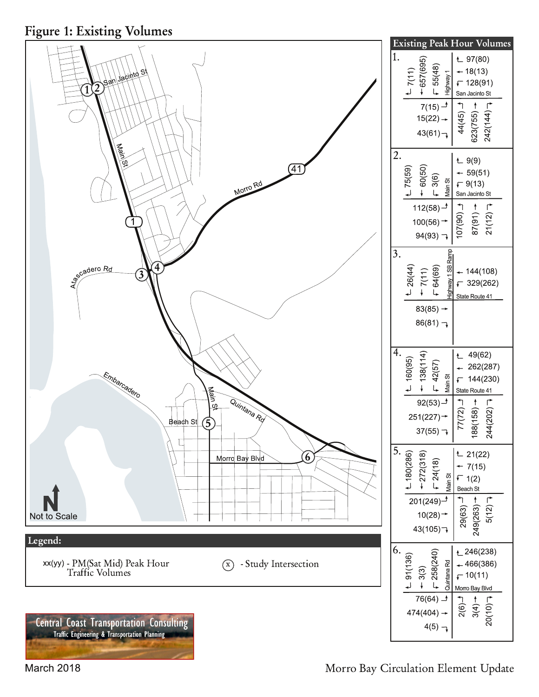**Figure 1: Existing Volumes** 



March 2018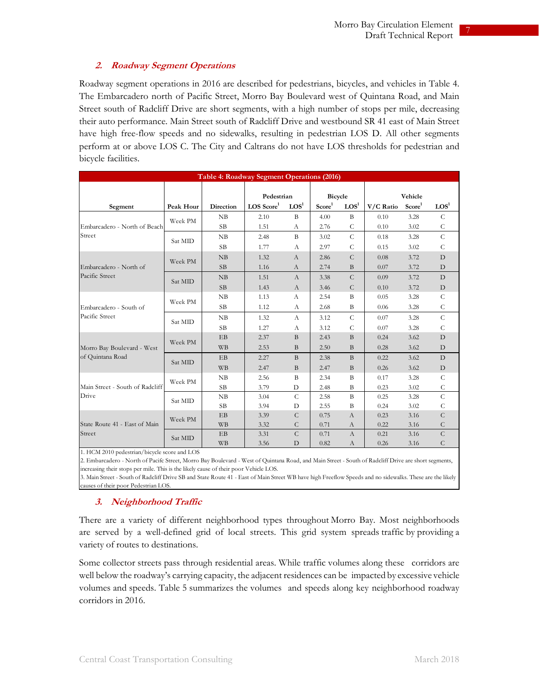#### **2. Roadway Segment Operations**

Roadway segment operations in 2016 are described for pedestrians, bicycles, and vehicles in Table 4. The Embarcadero north of Pacific Street, Morro Bay Boulevard west of Quintana Road, and Main Street south of Radcliff Drive are short segments, with a high number of stops per mile, decreasing their auto performance. Main Street south of Radcliff Drive and westbound SR 41 east of Main Street have high free-flow speeds and no sidewalks, resulting in pedestrian LOS D. All other segments perform at or above LOS C. The City and Caltrans do not have LOS thresholds for pedestrian and bicycle facilities.

| Table 4: Roadway Segment Operations (2016) |           |           |                          |                |                    |                |           |                    |                |  |  |  |
|--------------------------------------------|-----------|-----------|--------------------------|----------------|--------------------|----------------|-----------|--------------------|----------------|--|--|--|
|                                            |           |           |                          |                |                    |                |           |                    |                |  |  |  |
|                                            |           |           | Pedestrian               |                | Bicycle            |                | Vehicle   |                    |                |  |  |  |
| Segment                                    | Peak Hour | Direction | $LOS$ Score <sup>1</sup> | $\text{LOS}^1$ | Score <sup>1</sup> | $\text{LOS}^1$ | V/C Ratio | Score <sup>1</sup> | $\text{LOS}^1$ |  |  |  |
|                                            | Week PM   | NB        | 2.10                     | B              | 4.00               | B              | 0.10      | 3.28               | $\mathcal{C}$  |  |  |  |
| Embarcadero - North of Beach               |           | <b>SB</b> | 1.51                     | A              | 2.76               | $\mathsf{C}$   | 0.10      | 3.02               | C              |  |  |  |
| Street                                     | Sat MID   | NB        | 2.48                     | B              | 3.02               | $\mathcal{C}$  | 0.18      | 3.28               | $\mathcal{C}$  |  |  |  |
|                                            |           | <b>SB</b> | 1.77                     | A              | 2.97               | $\mathsf{C}$   | 0.15      | 3.02               | $\mathcal{C}$  |  |  |  |
|                                            | Week PM   | NB        | 1.32                     | $\mathcal{A}$  | 2.86               | $\mathcal{C}$  | 0.08      | 3.72               | D              |  |  |  |
| Embarcadero - North of                     |           | <b>SB</b> | 1.16                     | $\mathbf{A}$   | 2.74               | B              | 0.07      | 3.72               | D              |  |  |  |
| Pacific Street                             | Sat MID   | NB        | 1.51                     | $\mathbf{A}$   | 3.38               | $\mathcal{C}$  | 0.09      | 3.72               | D              |  |  |  |
|                                            |           | <b>SB</b> | 1.43                     | $\mathbf{A}$   | 3.46               | $\mathcal{C}$  | 0.10      | 3.72               | D              |  |  |  |
|                                            | Week PM   | NB        | 1.13                     | $\mathbf{A}$   | 2.54               | B              | 0.05      | 3.28               | $\mathcal{C}$  |  |  |  |
| Embarcadero - South of                     |           | <b>SB</b> | 1.12                     | A              | 2.68               | B              | 0.06      | 3.28               | $\mathsf{C}$   |  |  |  |
| Pacific Street                             | Sat MID   | NB        | 1.32                     | $\mathcal{A}$  | 3.12               | $\mathsf{C}$   | 0.07      | 3.28               | $\mathsf{C}$   |  |  |  |
|                                            |           | <b>SB</b> | 1.27                     | А              | 3.12               | $\mathsf{C}$   | 0.07      | 3.28               | $\mathsf{C}$   |  |  |  |
|                                            | Week PM   | EB        | 2.37                     | $\overline{B}$ | 2.43               | $\mathbf{B}$   | 0.24      | 3.62               | D              |  |  |  |
| Morro Bay Boulevard - West                 |           | <b>WB</b> | 2.53                     | $\mathbf{B}$   | 2.50               | B              | 0.28      | 3.62               | D              |  |  |  |
| of Quintana Road                           | Sat MID   | EB        | 2.27                     | B              | 2.38               | B              | 0.22      | 3.62               | D              |  |  |  |
|                                            |           | <b>WB</b> | 2.47                     | $\overline{B}$ | 2.47               | $\mathbf{B}$   | 0.26      | 3.62               | D              |  |  |  |
|                                            | Week PM   | NB        | 2.56                     | B              | 2.34               | $\mathbf{B}$   | 0.17      | 3.28               | $\mathsf{C}$   |  |  |  |
| Main Street - South of Radcliff            |           | <b>SB</b> | 3.79                     | D              | 2.48               | B              | 0.23      | 3.02               | $\mathsf{C}$   |  |  |  |
| Drive                                      | Sat MID   | NB        | 3.04                     | $\mathcal{C}$  | 2.58               | B              | 0.25      | 3.28               | $\mathsf{C}$   |  |  |  |
|                                            |           | <b>SB</b> | 3.94                     | D              | 2.55               | B              | 0.24      | 3.02               | C              |  |  |  |
|                                            | Week PM   | EB        | 3.39                     | $\mathcal{C}$  | 0.75               | $\mathbf{A}$   | 0.23      | 3.16               | $\mathsf{C}$   |  |  |  |
| State Route 41 - East of Main              |           | <b>WB</b> | 3.32                     | $\mathsf{C}$   | 0.71               | A              | 0.22      | 3.16               | $\mathsf{C}$   |  |  |  |
| Street                                     | Sat MID   | EB        | 3.31                     | $\mathcal{C}$  | 0.71               | $\mathbf{A}$   | 0.21      | 3.16               | $\mathcal{C}$  |  |  |  |
|                                            |           | <b>WB</b> | 3.56                     | D              | 0.82               | A              | 0.26      | 3.16               | $\mathsf{C}$   |  |  |  |

1. HCM 2010 pedestrian/bicycle score and LOS

2. Embarcadero - North of Pacifc Street, Morro Bay Boulevard - West of Quintana Road, and Main Street - South of Radcliff Drive are short segments, increasing their stops per mile. This is the likely cause of their poor Vehicle LOS.

3. Main Street - South of Radcliff Drive SB and State Route 41 - East of Main Street WB have high Freeflow Speeds and no sidewalks. These are the likely causes of their poor Pedestrian LOS.

#### **3. Neighborhood Traffic**

There are a variety of different neighborhood types throughout Morro Bay. Most neighborhoods are served by a well-defined grid of local streets. This grid system spreads traffic by providing a variety of routes to destinations.

Some collector streets pass through residential areas. While traffic volumes along these corridors are well below the roadway's carrying capacity, the adjacent residences can be impacted by excessive vehicle volumes and speeds. Table 5 summarizes the volumes and speeds along key neighborhood roadway corridors in 2016.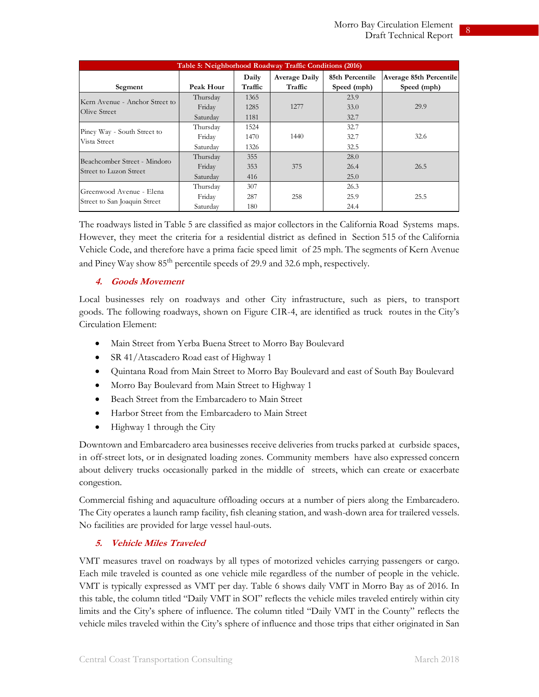|                                             | Table 5: Neighborhood Roadway Traffic Conditions (2016) |         |                      |                 |                                |  |  |  |  |  |  |  |  |  |
|---------------------------------------------|---------------------------------------------------------|---------|----------------------|-----------------|--------------------------------|--|--|--|--|--|--|--|--|--|
|                                             |                                                         | Daily   | <b>Average Daily</b> | 85th Percentile | <b>Average 85th Percentile</b> |  |  |  |  |  |  |  |  |  |
| Segment                                     | Peak Hour                                               | Traffic | Traffic              | Speed (mph)     | Speed (mph)                    |  |  |  |  |  |  |  |  |  |
| Kern Avenue - Anchor Street to              | Thursday                                                | 1365    |                      | 23.9            |                                |  |  |  |  |  |  |  |  |  |
| Olive Street                                | Friday                                                  | 1285    | 1277                 | 33.0            | 29.9                           |  |  |  |  |  |  |  |  |  |
|                                             | Saturday                                                | 1181    |                      | 32.7            |                                |  |  |  |  |  |  |  |  |  |
|                                             | Thursday                                                | 1524    |                      | 32.7            |                                |  |  |  |  |  |  |  |  |  |
| Piney Way - South Street to<br>Vista Street | Friday                                                  | 1470    | 1440                 | 32.7            | 32.6                           |  |  |  |  |  |  |  |  |  |
|                                             | Saturday                                                | 1326    |                      | 32.5            |                                |  |  |  |  |  |  |  |  |  |
| Beachcomber Street - Mindoro                | Thursday                                                | 355     |                      | 28.0            |                                |  |  |  |  |  |  |  |  |  |
| Street to Luzon Street                      | Friday                                                  | 353     | 375                  | 26.4            | 26.5                           |  |  |  |  |  |  |  |  |  |
|                                             | Saturday                                                | 416     |                      | 25.0            |                                |  |  |  |  |  |  |  |  |  |
|                                             | Thursday                                                | 307     |                      | 26.3            |                                |  |  |  |  |  |  |  |  |  |
| Greenwood Avenue - Elena                    | Friday                                                  | 287     | 258                  | 25.9            | 25.5                           |  |  |  |  |  |  |  |  |  |
| Street to San Joaquin Street                | Saturday                                                | 180     |                      | 24.4            |                                |  |  |  |  |  |  |  |  |  |

The roadways listed in Table 5 are classified as major collectors in the California Road Systems maps. However, they meet the criteria for a residential district as defined in Section 515 of the California Vehicle Code, and therefore have a prima facie speed limit of 25 mph. The segments of Kern Avenue and Piney Way show  $85^{th}$  percentile speeds of 29.9 and 32.6 mph, respectively.

#### **4. Goods Movement**

Local businesses rely on roadways and other City infrastructure, such as piers, to transport goods. The following roadways, shown on Figure CIR-4, are identified as truck routes in the City's Circulation Element:

- Main Street from Yerba Buena Street to Morro Bay Boulevard
- SR 41/Atascadero Road east of Highway 1
- Quintana Road from Main Street to Morro Bay Boulevard and east of South Bay Boulevard
- $\bullet$  Morro Bay Boulevard from Main Street to Highway 1
- Beach Street from the Embarcadero to Main Street
- Harbor Street from the Embarcadero to Main Street
- Highway 1 through the City

Downtown and Embarcadero area businesses receive deliveries from trucks parked at curbside spaces, in off-street lots, or in designated loading zones. Community members have also expressed concern about delivery trucks occasionally parked in the middle of streets, which can create or exacerbate congestion.

Commercial fishing and aquaculture offloading occurs at a number of piers along the Embarcadero. The City operates a launch ramp facility, fish cleaning station, and wash-down area for trailered vessels. No facilities are provided for large vessel haul-outs.

#### **5. Vehicle Miles Traveled**

VMT measures travel on roadways by all types of motorized vehicles carrying passengers or cargo. Each mile traveled is counted as one vehicle mile regardless of the number of people in the vehicle. VMT is typically expressed as VMT per day. Table 6 shows daily VMT in Morro Bay as of 2016. In this table, the column titled "Daily VMT in SOI" reflects the vehicle miles traveled entirely within city limits and the City's sphere of influence. The column titled "Daily VMT in the County" reflects the vehicle miles traveled within the City's sphere of influence and those trips that either originated in San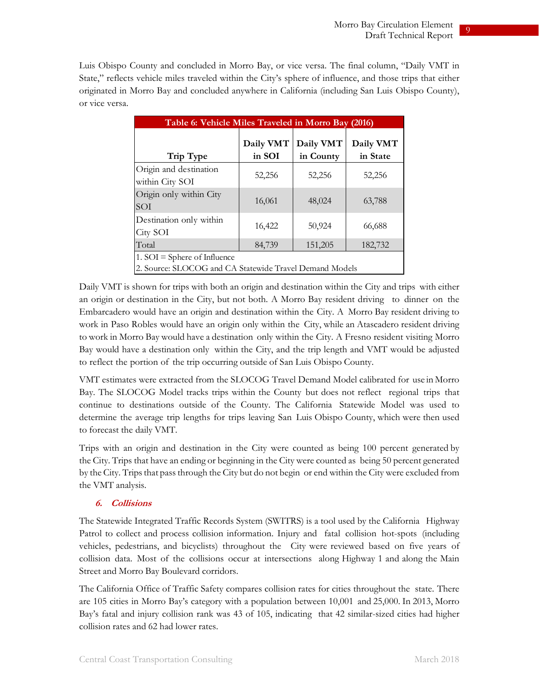Luis Obispo County and concluded in Morro Bay, or vice versa. The final column, "Daily VMT in State," reflects vehicle miles traveled within the City's sphere of influence, and those trips that either originated in Morro Bay and concluded anywhere in California (including San Luis Obispo County), or vice versa.

|                                                                                           | Table 6: Vehicle Miles Traveled in Morro Bay (2016) |                        |                       |  |  |  |  |  |  |  |  |  |
|-------------------------------------------------------------------------------------------|-----------------------------------------------------|------------------------|-----------------------|--|--|--|--|--|--|--|--|--|
| Trip Type                                                                                 | Daily VMT<br>in SOI                                 | Daily VMT<br>in County | Daily VMT<br>in State |  |  |  |  |  |  |  |  |  |
| Origin and destination<br>within City SOI                                                 | 52,256                                              | 52,256                 | 52,256                |  |  |  |  |  |  |  |  |  |
| Origin only within City<br>SOI                                                            | 16,061                                              | 48,024                 | 63,788                |  |  |  |  |  |  |  |  |  |
| Destination only within<br>City SOI                                                       | 16,422                                              | 50,924                 | 66,688                |  |  |  |  |  |  |  |  |  |
| Total                                                                                     | 84,739                                              | 151,205                | 182,732               |  |  |  |  |  |  |  |  |  |
| 1. $SOI = Sphere of Influence$<br>2. Source: SLOCOG and CA Statewide Travel Demand Models |                                                     |                        |                       |  |  |  |  |  |  |  |  |  |

Daily VMT is shown for trips with both an origin and destination within the City and trips with either an origin or destination in the City, but not both. A Morro Bay resident driving to dinner on the Embarcadero would have an origin and destination within the City. A Morro Bay resident driving to work in Paso Robles would have an origin only within the City, while an Atascadero resident driving to work in Morro Bay would have a destination only within the City. A Fresno resident visiting Morro Bay would have a destination only within the City, and the trip length and VMT would be adjusted to reflect the portion of the trip occurring outside of San Luis Obispo County.

VMT estimates were extracted from the SLOCOG Travel Demand Model calibrated for use in Morro Bay. The SLOCOG Model tracks trips within the County but does not reflect regional trips that continue to destinations outside of the County. The California Statewide Model was used to determine the average trip lengths for trips leaving San Luis Obispo County, which were then used to forecast the daily VMT.

Trips with an origin and destination in the City were counted as being 100 percent generated by the City. Trips that have an ending or beginning in the City were counted as being 50 percent generated by the City. Trips that pass through the City but do not begin or end within the City were excluded from the VMT analysis.

#### **6. Collisions**

The Statewide Integrated Traffic Records System (SWITRS) is a tool used by the California Highway Patrol to collect and process collision information. Injury and fatal collision hot-spots (including vehicles, pedestrians, and bicyclists) throughout the City were reviewed based on five years of collision data. Most of the collisions occur at intersections along Highway 1 and along the Main Street and Morro Bay Boulevard corridors.

The California Office of Traffic Safety compares collision rates for cities throughout the state. There are 105 cities in Morro Bay's category with a population between 10,001 and 25,000. In 2013, Morro Bay's fatal and injury collision rank was 43 of 105, indicating that 42 similar-sized cities had higher collision rates and 62 had lower rates.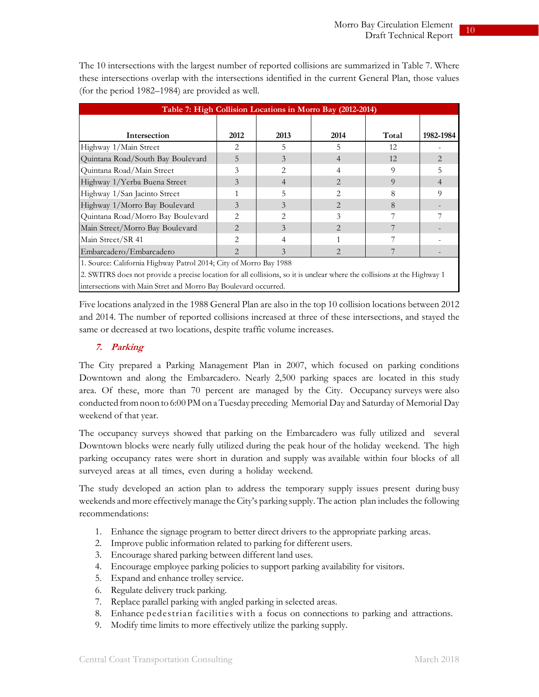The 10 intersections with the largest number of reported collisions are summarized in Table 7. Where these intersections overlap with the intersections identified in the current General Plan, those values (for the period 1982–1984) are provided as well.

| Table 7: High Collision Locations in Morro Bay (2012-2014) |                             |                |                |       |           |  |  |  |  |  |  |  |  |
|------------------------------------------------------------|-----------------------------|----------------|----------------|-------|-----------|--|--|--|--|--|--|--|--|
| Intersection                                               | 2012                        | 2013           | 2014           | Total | 1982-1984 |  |  |  |  |  |  |  |  |
| Highway 1/Main Street                                      |                             |                |                | 12    |           |  |  |  |  |  |  |  |  |
| Quintana Road/South Bay Boulevard                          |                             | 3              |                | 12    |           |  |  |  |  |  |  |  |  |
| Quintana Road/Main Street                                  | 3                           | $\mathfrak{D}$ |                |       |           |  |  |  |  |  |  |  |  |
| Highway 1/Yerba Buena Street                               |                             | 4              |                | 9     |           |  |  |  |  |  |  |  |  |
| Highway 1/San Jacinto Street                               |                             |                |                |       |           |  |  |  |  |  |  |  |  |
| Highway 1/Morro Bay Boulevard                              | 3                           | 3              | $\mathfrak{D}$ | 8     |           |  |  |  |  |  |  |  |  |
| Quintana Road/Morro Bay Boulevard                          |                             |                |                |       |           |  |  |  |  |  |  |  |  |
| Main Street/Morro Bay Boulevard                            |                             | 3              |                |       |           |  |  |  |  |  |  |  |  |
| Main Street/SR 41                                          |                             |                |                |       |           |  |  |  |  |  |  |  |  |
| Embarcadero/Embarcadero                                    | $\mathcal{D}_{\mathcal{A}}$ | 3              | $\mathfrak{D}$ |       |           |  |  |  |  |  |  |  |  |

1. Source: California Highway Patrol 2014; City of Morro Bay 1988

2. SWITRS does not provide a precise location for all collisions, so it is unclear where the collisions at the Highway 1 intersections with Main Stret and Morro Bay Boulevard occurred.

Five locations analyzed in the 1988 General Plan are also in the top 10 collision locations between 2012 and 2014. The number of reported collisions increased at three of these intersections, and stayed the same or decreased at two locations, despite traffic volume increases.

#### **7. Parking**

The City prepared a Parking Management Plan in 2007, which focused on parking conditions Downtown and along the Embarcadero. Nearly 2,500 parking spaces are located in this study area. Of these, more than 70 percent are managed by the City. Occupancy surveys were also conducted from noon to 6:00 PM on a Tuesday preceding Memorial Day and Saturday of Memorial Day weekend of that year.

The occupancy surveys showed that parking on the Embarcadero was fully utilized and several Downtown blocks were nearly fully utilized during the peak hour of the holiday weekend. The high parking occupancy rates were short in duration and supply was available within four blocks of all surveyed areas at all times, even during a holiday weekend.

The study developed an action plan to address the temporary supply issues present during busy weekends and more effectively manage the City's parking supply. The action plan includes the following recommendations:

- 1. Enhance the signage program to better direct drivers to the appropriate parking areas.
- 2. Improve public information related to parking for different users.
- 3. Encourage shared parking between different land uses.
- 4. Encourage employee parking policies to support parking availability for visitors.
- 5. Expand and enhance trolley service.
- 6. Regulate delivery truck parking.
- 7. Replace parallel parking with angled parking in selected areas.
- 8. Enhance pedestrian facilities with a focus on connections to parking and attractions.
- 9. Modify time limits to more effectively utilize the parking supply.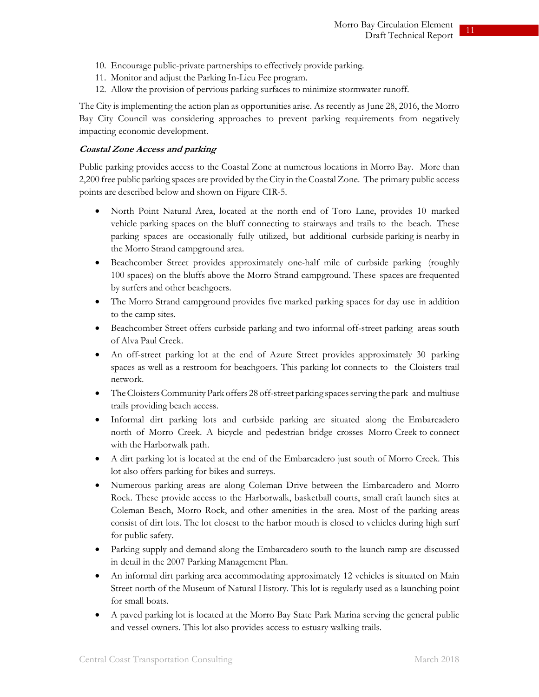- 10. Encourage public-private partnerships to effectively provide parking.
- 11. Monitor and adjust the Parking In-Lieu Fee program.
- 12. Allow the provision of pervious parking surfaces to minimize stormwater runoff.

The City is implementing the action plan as opportunities arise. As recently as June 28, 2016, the Morro Bay City Council was considering approaches to prevent parking requirements from negatively impacting economic development.

#### **Coastal Zone Access and parking**

Public parking provides access to the Coastal Zone at numerous locations in Morro Bay. More than 2,200 free public parking spaces are provided by the City in the Coastal Zone. The primary public access points are described below and shown on Figure CIR-5.

- North Point Natural Area, located at the north end of Toro Lane, provides 10 marked vehicle parking spaces on the bluff connecting to stairways and trails to the beach. These parking spaces are occasionally fully utilized, but additional curbside parking is nearby in the Morro Strand campground area.
- Beachcomber Street provides approximately one-half mile of curbside parking (roughly 100 spaces) on the bluffs above the Morro Strand campground. These spaces are frequented by surfers and other beachgoers.
- The Morro Strand campground provides five marked parking spaces for day use in addition to the camp sites.
- Beachcomber Street offers curbside parking and two informal off-street parking areas south of Alva Paul Creek.
- An off-street parking lot at the end of Azure Street provides approximately 30 parking spaces as well as a restroom for beachgoers. This parking lot connects to the Cloisters trail network.
- The Cloisters Community Park offers 28 off-street parking spaces serving the park and multiuse trails providing beach access.
- Informal dirt parking lots and curbside parking are situated along the Embarcadero north of Morro Creek. A bicycle and pedestrian bridge crosses Morro Creek to connect with the Harborwalk path.
- A dirt parking lot is located at the end of the Embarcadero just south of Morro Creek. This lot also offers parking for bikes and surreys.
- Numerous parking areas are along Coleman Drive between the Embarcadero and Morro Rock. These provide access to the Harborwalk, basketball courts, small craft launch sites at Coleman Beach, Morro Rock, and other amenities in the area. Most of the parking areas consist of dirt lots. The lot closest to the harbor mouth is closed to vehicles during high surf for public safety.
- Parking supply and demand along the Embarcadero south to the launch ramp are discussed in detail in the 2007 Parking Management Plan.
- An informal dirt parking area accommodating approximately 12 vehicles is situated on Main Street north of the Museum of Natural History. This lot is regularly used as a launching point for small boats.
- A paved parking lot is located at the Morro Bay State Park Marina serving the general public and vessel owners. This lot also provides access to estuary walking trails.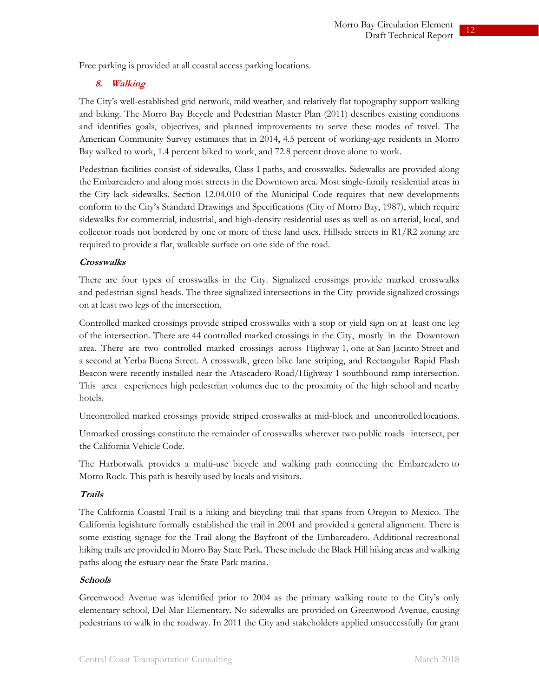Free parking is provided at all coastal access parking locations.

#### **8. Walking**

The City's well-established grid network, mild weather, and relatively flat topography support walking and biking. The Morro Bay Bicycle and Pedestrian Master Plan (2011) describes existing conditions and identifies goals, objectives, and planned improvements to serve these modes of travel. The American Community Survey estimates that in 2014, 4.5 percent of working-age residents in Morro Bay walked to work, 1.4 percent biked to work, and 72.8 percent drove alone to work.

Pedestrian facilities consist of sidewalks, Class I paths, and crosswalks. Sidewalks are provided along the Embarcadero and along most streets in the Downtown area. Most single-family residential areas in the City lack sidewalks. Section 12.04.010 of the Municipal Code requires that new developments conform to the City's Standard Drawings and Specifications (City of Morro Bay, 1987), which require sidewalks for commercial, industrial, and high-density residential uses as well as on arterial, local, and collector roads not bordered by one or more of these land uses. Hillside streets in R1/R2 zoning are required to provide a flat, walkable surface on one side of the road.

#### **Crosswalks**

There are four types of crosswalks in the City. Signalized crossings provide marked crosswalks and pedestrian signal heads. The three signalized intersections in the City provide signalized crossings on at least two legs of the intersection.

Controlled marked crossings provide striped crosswalks with a stop or yield sign on at least one leg of the intersection. There are 44 controlled marked crossings in the City, mostly in the Downtown area. There are two controlled marked crossings across Highway 1, one at San Jacinto Street and a second at Yerba Buena Street. A crosswalk, green bike lane striping, and Rectangular Rapid Flash Beacon were recently installed near the Atascadero Road/Highway 1 southbound ramp intersection. This area experiences high pedestrian volumes due to the proximity of the high school and nearby hotels.

Uncontrolled marked crossings provide striped crosswalks at mid-block and uncontrolled locations.

Unmarked crossings constitute the remainder of crosswalks wherever two public roads intersect, per the California Vehicle Code.

The Harborwalk provides a multi-use bicycle and walking path connecting the Embarcadero to Morro Rock. This path is heavily used by locals and visitors.

#### **Trails**

The California Coastal Trail is a hiking and bicycling trail that spans from Oregon to Mexico. The California legislature formally established the trail in 2001 and provided a general alignment. There is some existing signage for the Trail along the Bayfront of the Embarcadero. Additional recreational hiking trails are provided in Morro Bay State Park. These include the Black Hill hiking areas and walking paths along the estuary near the State Park marina.

#### **Schools**

Greenwood Avenue was identified prior to 2004 as the primary walking route to the City's only elementary school, Del Mar Elementary. No sidewalks are provided on Greenwood Avenue, causing pedestrians to walk in the roadway. In 2011 the City and stakeholders applied unsuccessfully for grant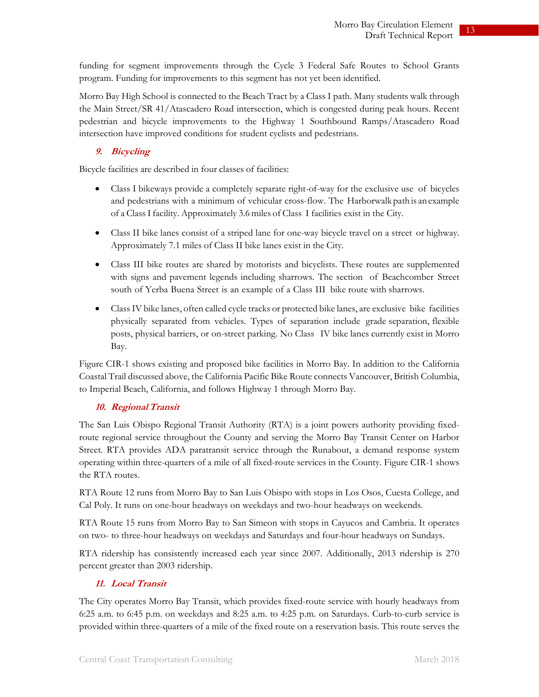funding for segment improvements through the Cycle 3 Federal Safe Routes to School Grants program. Funding for improvements to this segment has not yet been identified.

Morro Bay High School is connected to the Beach Tract by a Class I path. Many students walk through the Main Street/SR 41/Atascadero Road intersection, which is congested during peak hours. Recent pedestrian and bicycle improvements to the Highway 1 Southbound Ramps/Atascadero Road intersection have improved conditions for student cyclists and pedestrians.

#### **9. Bicycling**

Bicycle facilities are described in four classes of facilities:

- Class I bikeways provide a completely separate right-of-way for the exclusive use of bicycles and pedestrians with a minimum of vehicular cross-flow. The Harborwalk path is an example of a Class I facility. Approximately 3.6 miles of Class I facilities exist in the City.
- Class II bike lanes consist of a striped lane for one-way bicycle travel on a street or highway. Approximately 7.1 miles of Class II bike lanes exist in the City.
- Class III bike routes are shared by motorists and bicyclists. These routes are supplemented with signs and pavement legends including sharrows. The section of Beachcomber Street south of Yerba Buena Street is an example of a Class III bike route with sharrows.
- Class IV bike lanes, often called cycle tracks or protected bike lanes, are exclusive bike facilities physically separated from vehicles. Types of separation include grade separation, flexible posts, physical barriers, or on-street parking. No Class IV bike lanes currently exist in Morro Bay.

Figure CIR-1 shows existing and proposed bike facilities in Morro Bay. In addition to the California Coastal Trail discussed above, the California Pacific Bike Route connects Vancouver, British Columbia, to Imperial Beach, California, and follows Highway 1 through Morro Bay.

#### **10. Regional Transit**

The San Luis Obispo Regional Transit Authority (RTA) is a joint powers authority providing fixedroute regional service throughout the County and serving the Morro Bay Transit Center on Harbor Street. RTA provides ADA paratransit service through the Runabout, a demand response system operating within three-quarters of a mile of all fixed-route services in the County. Figure CIR-1 shows the RTA routes.

RTA Route 12 runs from Morro Bay to San Luis Obispo with stops in Los Osos, Cuesta College, and Cal Poly. It runs on one-hour headways on weekdays and two-hour headways on weekends.

RTA Route 15 runs from Morro Bay to San Simeon with stops in Cayucos and Cambria. It operates on two- to three-hour headways on weekdays and Saturdays and four-hour headways on Sundays.

RTA ridership has consistently increased each year since 2007. Additionally, 2013 ridership is 270 percent greater than 2003 ridership.

#### **11. Local Transit**

The City operates Morro Bay Transit, which provides fixed-route service with hourly headways from 6:25 a.m. to 6:45 p.m. on weekdays and 8:25 a.m. to 4:25 p.m. on Saturdays. Curb-to-curb service is provided within three-quarters of a mile of the fixed route on a reservation basis. This route serves the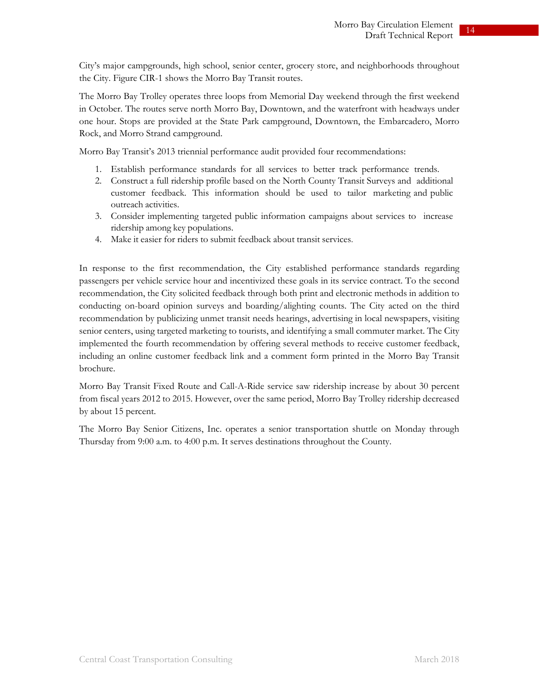City's major campgrounds, high school, senior center, grocery store, and neighborhoods throughout the City. Figure CIR-1 shows the Morro Bay Transit routes.

The Morro Bay Trolley operates three loops from Memorial Day weekend through the first weekend in October. The routes serve north Morro Bay, Downtown, and the waterfront with headways under one hour. Stops are provided at the State Park campground, Downtown, the Embarcadero, Morro Rock, and Morro Strand campground.

Morro Bay Transit's 2013 triennial performance audit provided four recommendations:

- 1. Establish performance standards for all services to better track performance trends.
- 2. Construct a full ridership profile based on the North County Transit Surveys and additional customer feedback. This information should be used to tailor marketing and public outreach activities.
- 3. Consider implementing targeted public information campaigns about services to increase ridership among key populations.
- 4. Make it easier for riders to submit feedback about transit services.

In response to the first recommendation, the City established performance standards regarding passengers per vehicle service hour and incentivized these goals in its service contract. To the second recommendation, the City solicited feedback through both print and electronic methods in addition to conducting on-board opinion surveys and boarding/alighting counts. The City acted on the third recommendation by publicizing unmet transit needs hearings, advertising in local newspapers, visiting senior centers, using targeted marketing to tourists, and identifying a small commuter market. The City implemented the fourth recommendation by offering several methods to receive customer feedback, including an online customer feedback link and a comment form printed in the Morro Bay Transit brochure.

Morro Bay Transit Fixed Route and Call-A-Ride service saw ridership increase by about 30 percent from fiscal years 2012 to 2015. However, over the same period, Morro Bay Trolley ridership decreased by about 15 percent.

The Morro Bay Senior Citizens, Inc. operates a senior transportation shuttle on Monday through Thursday from 9:00 a.m. to 4:00 p.m. It serves destinations throughout the County.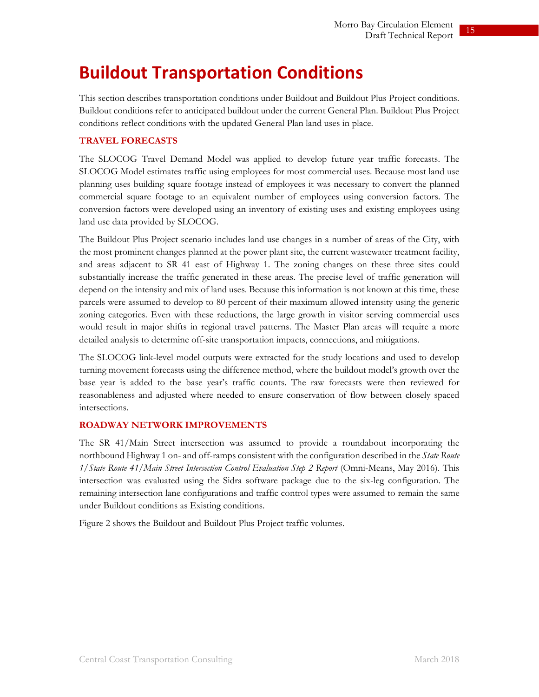### **Buildout Transportation Conditions**

This section describes transportation conditions under Buildout and Buildout Plus Project conditions. Buildout conditions refer to anticipated buildout under the current General Plan. Buildout Plus Project conditions reflect conditions with the updated General Plan land uses in place.

#### **TRAVEL FORECASTS**

The SLOCOG Travel Demand Model was applied to develop future year traffic forecasts. The SLOCOG Model estimates traffic using employees for most commercial uses. Because most land use planning uses building square footage instead of employees it was necessary to convert the planned commercial square footage to an equivalent number of employees using conversion factors. The conversion factors were developed using an inventory of existing uses and existing employees using land use data provided by SLOCOG.

The Buildout Plus Project scenario includes land use changes in a number of areas of the City, with the most prominent changes planned at the power plant site, the current wastewater treatment facility, and areas adjacent to SR 41 east of Highway 1. The zoning changes on these three sites could substantially increase the traffic generated in these areas. The precise level of traffic generation will depend on the intensity and mix of land uses. Because this information is not known at this time, these parcels were assumed to develop to 80 percent of their maximum allowed intensity using the generic zoning categories. Even with these reductions, the large growth in visitor serving commercial uses would result in major shifts in regional travel patterns. The Master Plan areas will require a more detailed analysis to determine off-site transportation impacts, connections, and mitigations.

The SLOCOG link-level model outputs were extracted for the study locations and used to develop turning movement forecasts using the difference method, where the buildout model's growth over the base year is added to the base year's traffic counts. The raw forecasts were then reviewed for reasonableness and adjusted where needed to ensure conservation of flow between closely spaced intersections.

#### **ROADWAY NETWORK IMPROVEMENTS**

The SR 41/Main Street intersection was assumed to provide a roundabout incorporating the northbound Highway 1 on- and off-ramps consistent with the configuration described in the *State Route 1/State Route 41/Main Street Intersection Control Evaluation Step 2 Report* (Omni-Means, May 2016). This intersection was evaluated using the Sidra software package due to the six-leg configuration. The remaining intersection lane configurations and traffic control types were assumed to remain the same under Buildout conditions as Existing conditions.

Figure 2 shows the Buildout and Buildout Plus Project traffic volumes.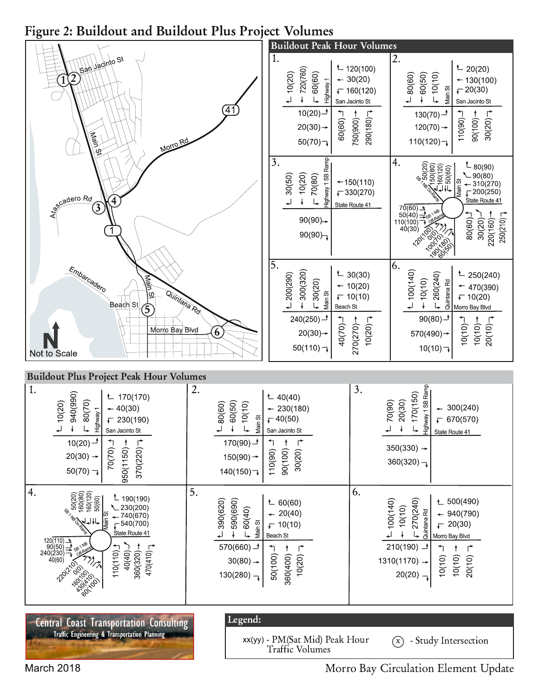Figure 2: Buildout and Buildout Plus Project Volumes

|                                                                                                                                                                                                                                                                                                                                                                                                                                    | <b>Buildout Peak Hour Volumes</b>                                                                                                                                                                                                                                                                                                                                                                                                                                                                                                                                                                                                                                                                                                                                                                                                                                                       |
|------------------------------------------------------------------------------------------------------------------------------------------------------------------------------------------------------------------------------------------------------------------------------------------------------------------------------------------------------------------------------------------------------------------------------------|-----------------------------------------------------------------------------------------------------------------------------------------------------------------------------------------------------------------------------------------------------------------------------------------------------------------------------------------------------------------------------------------------------------------------------------------------------------------------------------------------------------------------------------------------------------------------------------------------------------------------------------------------------------------------------------------------------------------------------------------------------------------------------------------------------------------------------------------------------------------------------------------|
| Liadinto st<br>启动<br>$\overline{41}$<br><b>Really</b><br>Morro Rd<br>O.                                                                                                                                                                                                                                                                                                                                                            | 2.<br>1.<br>← $20(20)$<br>← 120(100)<br>720(760)<br>(050)<br>60(60)<br>$-60(50)$<br>$\sqrt{10(10)}$<br>480(60)<br>$-30(20)$<br>$+ 130(100)$<br>Highway 1<br>Main St<br>$-20(30)$<br>$\sqrt{ }$ 160(120)<br>Ļ<br>San Jacinto St<br>San Jacinto St<br>$10(20)$ <sup>+</sup><br>$130(70)$ <sup>-1</sup><br>$60(60) -$<br>290(180)<br>$750(900) \rightarrow$<br>$110(90) -$<br>30(20)<br>$+ (001)06$<br>$20(30) \rightarrow$<br>$120(70) \rightarrow$<br>110(120) $\neg$<br>50(70)                                                                                                                                                                                                                                                                                                                                                                                                          |
| scadero Rd<br>$\overline{\mathbf{3}}$                                                                                                                                                                                                                                                                                                                                                                                              | 3.<br>Highway 1 SB Ramp<br>4.<br>$\begin{array}{l} \circledast \  \  \, 50(20) \\ \circledast \  \  \, 50(80) \\ \circledast \  \  \, 150(80) \\ \leftarrow \  \  \, 150(120) \\ \leftarrow \  \  \, 50(60) \end{array}$<br>$L_{80(90)}$<br>$\sim$ 90(80)<br>30(50)<br>10(20)<br>70(80)<br>$+150(110)$<br><b>SE</b><br>Main St<br>$-310(270)$<br>$\sqrt{200(250)}$<br>$\sqrt{-}330(270)$<br>State Route 41<br>لډ<br>Ļ<br>State Route 41<br>70(60) $\frac{1}{2}$<br>50(40) $\frac{1}{2}$ $\frac{1}{2}$ $\frac{1}{2}$ $\frac{1}{2}$ $\frac{1}{2}$ $\frac{1}{2}$ $\frac{1}{2}$ $\frac{1}{2}$ $\frac{1}{2}$ $\frac{1}{2}$ $\frac{1}{2}$ $\frac{1}{2}$ $\frac{1}{2}$ $\frac{1}{2}$ $\frac{1}{2}$ $\frac{1}{2}$ $\frac{1}{2}$ $\frac{1}{2}$ $\frac{1}{2}$ $\frac{1}{2$<br>$30(20)^{-1}$<br>$220(160) \rightarrow$<br>250(210) 7<br>$-10908$<br>90(90)<br>1201000<br>90(90)<br>laction<br>1807 |
| Embarcadero<br>Madin St<br><b>Quintana Rd</b><br>Beach St<br>$\overline{5}$<br>Morro Bay Blvd<br>$6\phantom{.}6$<br>Not to Scale                                                                                                                                                                                                                                                                                                   | 5.<br>6.<br>(00(140))<br>300(320)<br>$L_{30(30)}$<br>← 250(240)<br>260(240)<br>$+200(290)$<br>$+10(10)$<br>Quintana Rd<br>30(20)<br>$+ 10(20)$<br>← 470(390)<br>Main St<br>$\sqrt{ }$ 10(10)<br>F 10(20)<br>Ľ,<br>しょ<br>Beach St<br>Morro Bay Blvd<br>90(80) $-$<br>$240(250) -$<br>20(10)<br>$10(10)^4$<br>$+(0(7)0)4$<br>10(20)<br>$+0(10)$<br>$270(270) \rightarrow$<br>$20(30)$ $\rightarrow$<br>$570(490)$ $\rightarrow$<br>$50(110)$ $\neg$<br>10(10)                                                                                                                                                                                                                                                                                                                                                                                                                             |
| Buildout Plus Project Peak Hour Volumes                                                                                                                                                                                                                                                                                                                                                                                            |                                                                                                                                                                                                                                                                                                                                                                                                                                                                                                                                                                                                                                                                                                                                                                                                                                                                                         |
| 1.<br>2.<br>940(990)<br>$L$ 170(170)<br>80(70)<br>10(20)<br>$+60(50)$<br>$+80(60)$<br>10(10)<br>$-40(30)$<br>Highway 1<br>Main St<br>$\sqrt{230(190)}$<br>$\downarrow$<br>$\downarrow$<br>L,<br>$\pmb{\downarrow}$<br>San Jacinto St<br>$10(20)$ <sup>-1</sup><br>370(220)<br>$170(90) -$<br>$-0(707)$<br>$950(1150) \rightarrow$<br>$20(30)$ $\rightarrow$<br>$150(90)$ $\rightarrow$<br>$50(70)$ $\neg$<br>140(150)              | Highway 1 SB Ramp<br>3.<br>170(150)<br>$L$ 40(40)<br>20(30)<br>470(90)<br>$+ 300(240)$<br>$-230(180)$<br>$\sqrt{40(50)}$<br>F 670(570)<br>$\pmb{\downarrow}$<br>L<br>San Jacinto St<br>State Route 41<br>7<br>$\mathsf{L}$<br>$+ (001)06$<br>$350(330)$ $\rightarrow$<br>$110(90)$ .<br>30(20)<br>$360(320) -$                                                                                                                                                                                                                                                                                                                                                                                                                                                                                                                                                                          |
| 5.<br>4.<br>$\begin{array}{c} 50(20) \\ 160(80) \\ 160(120) \\ 50(60) \end{array}$<br>↑L 190(190)<br>390(620)<br>590(690)<br>$\sim$ 230(200)<br>60(40)<br><b>SBTWB</b><br>Main St<br>$-740(670)$<br>بالماله<br>Main St<br>$-540(700)$<br>State Route 41<br>$\mathsf{L}\!\!\!\downarrow$<br>$570(660)$ $\rightarrow$<br>$360(320) \rightarrow$<br>40(40)<br>470(410) 7<br>110(110)<br>$30(80)$ $\rightarrow$<br>2202105<br>130(280) | 6.<br>500(490)<br>270(240)<br>100(140)<br>← $60(60)$<br>℄<br>10(10)<br>Quintana Rd<br>$-20(40)$<br>940(790)<br>$\sqrt{20(30)}$<br>$\sqrt{10(10)}$<br>Ļ<br>Beach St<br>Morro Bay Blvd<br>$210(190)$ $\rightarrow$<br>$\Gamma$<br>$\Gamma$<br>$50(100)^{-4}$<br>$360(400) \rightarrow$<br>10(20)<br>20(10)<br>10(10)<br>10(10)<br>$1310(1170)$ $\rightarrow$<br>20(20)                                                                                                                                                                                                                                                                                                                                                                                                                                                                                                                    |
| Legend:                                                                                                                                                                                                                                                                                                                                                                                                                            |                                                                                                                                                                                                                                                                                                                                                                                                                                                                                                                                                                                                                                                                                                                                                                                                                                                                                         |
| <b>Central Coast Transportation Consulting</b><br>Traffic Engineering & Transportation Planning                                                                                                                                                                                                                                                                                                                                    | xx(yy) - PM(Sat Mid) Peak Hour<br>- Study Intersection<br>$(\mathbf{x})$<br>Traffic Volumes                                                                                                                                                                                                                                                                                                                                                                                                                                                                                                                                                                                                                                                                                                                                                                                             |

March 2018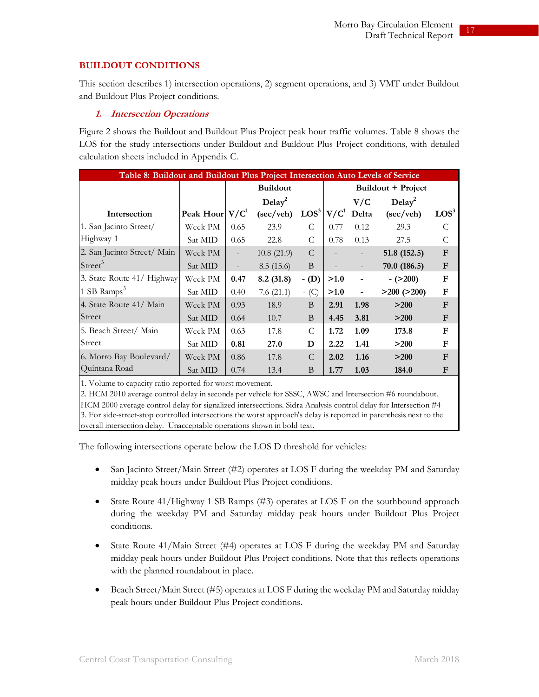#### **BUILDOUT CONDITIONS**

This section describes 1) intersection operations, 2) segment operations, and 3) VMT under Buildout and Buildout Plus Project conditions.

#### **1. Intersection Operations**

Figure 2 shows the Buildout and Buildout Plus Project peak hour traffic volumes. Table 8 shows the LOS for the study intersections under Buildout and Buildout Plus Project conditions, with detailed calculation sheets included in Appendix C.

| Table 8: Buildout and Buildout Plus Project Intersection Auto Levels of Service |                  |                          |                     |                |      |              |                     |                  |  |  |  |  |  |
|---------------------------------------------------------------------------------|------------------|--------------------------|---------------------|----------------|------|--------------|---------------------|------------------|--|--|--|--|--|
|                                                                                 |                  |                          | <b>Buildout</b>     |                |      |              | Buildout + Project  |                  |  |  |  |  |  |
|                                                                                 |                  |                          | $\text{Delay}^2$    |                |      | V/C          | $\text{Delay}^2$    |                  |  |  |  |  |  |
| Intersection                                                                    | Peak Hour $V/C1$ |                          | $(\sec/\text{veh})$ | $\text{LOS}^3$ |      | $V/C1$ Delta | $(\sec/\text{veh})$ | LOS <sup>3</sup> |  |  |  |  |  |
| 1. San Jacinto Street/                                                          | Week PM          | 0.65                     | 23.9                | C              | 0.77 | 0.12         | 29.3                | C                |  |  |  |  |  |
| Highway 1                                                                       | Sat MID          | 0.65                     | 22.8                | C              | 0.78 | 0.13         | 27.5                | C                |  |  |  |  |  |
| 2. San Jacinto Street/ Main                                                     | Week PM          | $\overline{\phantom{a}}$ | 10.8(21.9)          | C              |      |              | 51.8 (152.5)        | $\mathbf{F}$     |  |  |  |  |  |
| Street <sup>3</sup>                                                             | Sat MID          | $\overline{\phantom{a}}$ | 8.5(15.6)           | B              |      |              | 70.0(186.5)         | $\mathbf{F}$     |  |  |  |  |  |
| 3. State Route 41/ Highway                                                      | Week PM          | 0.47                     | 8.2(31.8)           | $-$ (D)        | >1.0 |              | $-(>200)$           | $\mathbf F$      |  |  |  |  |  |
| 1 SB Ramps <sup>3</sup>                                                         | Sat MID          | 0.40                     | 7.6(21.1)           | $-$ (C)        | >1.0 |              | $>200$ ( $>200$ )   | $\mathbf F$      |  |  |  |  |  |
| 4. State Route 41/ Main                                                         | Week PM          | 0.93                     | 18.9                | B              | 2.91 | 1.98         | >200                | $\mathbf{F}$     |  |  |  |  |  |
| Street                                                                          | Sat MID          | 0.64                     | 10.7                | B              | 4.45 | 3.81         | >200                | $\mathbf{F}$     |  |  |  |  |  |
| 5. Beach Street/ Main                                                           | Week PM          | 0.63                     | 17.8                | C              | 1.72 | 1.09         | 173.8               | $\mathbf F$      |  |  |  |  |  |
| Street                                                                          | Sat MID          | 0.81                     | 27.0                | D              | 2.22 | 1.41         | >200                | F                |  |  |  |  |  |
| 6. Morro Bay Boulevard/                                                         | Week PM          | 0.86                     | 17.8                | $\mathcal{C}$  | 2.02 | 1.16         | >200                | $\mathbf{F}$     |  |  |  |  |  |
| Quintana Road                                                                   | Sat MID          | 0.74                     | 13.4                | B              | 1.77 | 1.03         | 184.0               | $\mathbf F$      |  |  |  |  |  |

1. Volume to capacity ratio reported for worst movement.

3. For side-street-stop controlled intersections the worst approach's delay is reported in parenthesis next to the overall intersection delay. Unacceptable operations shown in bold text. 2. HCM 2010 average control delay in seconds per vehicle for SSSC, AWSC and Intersection #6 roundabout. HCM 2000 average control delay for signalized intersecctions. Sidra Analysis control delay for Intersection #4

The following intersections operate below the LOS D threshold for vehicles:

- San Jacinto Street/Main Street (#2) operates at LOS F during the weekday PM and Saturday midday peak hours under Buildout Plus Project conditions.
- State Route 41/Highway 1 SB Ramps (#3) operates at LOS F on the southbound approach during the weekday PM and Saturday midday peak hours under Buildout Plus Project conditions.
- State Route 41/Main Street (#4) operates at LOS F during the weekday PM and Saturday midday peak hours under Buildout Plus Project conditions. Note that this reflects operations with the planned roundabout in place.
- Beach Street/Main Street (#5) operates at LOS F during the weekday PM and Saturday midday peak hours under Buildout Plus Project conditions.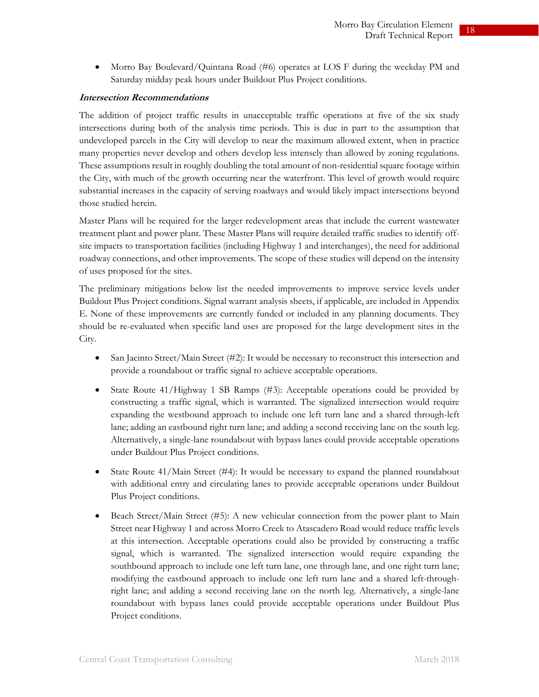Morro Bay Boulevard/Quintana Road (#6) operates at LOS F during the weekday PM and Saturday midday peak hours under Buildout Plus Project conditions.

#### **Intersection Recommendations**

The addition of project traffic results in unacceptable traffic operations at five of the six study intersections during both of the analysis time periods. This is due in part to the assumption that undeveloped parcels in the City will develop to near the maximum allowed extent, when in practice many properties never develop and others develop less intensely than allowed by zoning regulations. These assumptions result in roughly doubling the total amount of non-residential square footage within the City, with much of the growth occurring near the waterfront. This level of growth would require substantial increases in the capacity of serving roadways and would likely impact intersections beyond those studied herein.

Master Plans will be required for the larger redevelopment areas that include the current wastewater treatment plant and power plant. These Master Plans will require detailed traffic studies to identify offsite impacts to transportation facilities (including Highway 1 and interchanges), the need for additional roadway connections, and other improvements. The scope of these studies will depend on the intensity of uses proposed for the sites.

The preliminary mitigations below list the needed improvements to improve service levels under Buildout Plus Project conditions. Signal warrant analysis sheets, if applicable, are included in Appendix E. None of these improvements are currently funded or included in any planning documents. They should be re-evaluated when specific land uses are proposed for the large development sites in the City.

- San Jacinto Street/Main Street  $(\#2)$ : It would be necessary to reconstruct this intersection and provide a roundabout or traffic signal to achieve acceptable operations.
- State Route 41/Highway 1 SB Ramps (#3): Acceptable operations could be provided by constructing a traffic signal, which is warranted. The signalized intersection would require expanding the westbound approach to include one left turn lane and a shared through-left lane; adding an eastbound right turn lane; and adding a second receiving lane on the south leg. Alternatively, a single-lane roundabout with bypass lanes could provide acceptable operations under Buildout Plus Project conditions.
- State Route 41/Main Street (#4): It would be necessary to expand the planned roundabout with additional entry and circulating lanes to provide acceptable operations under Buildout Plus Project conditions.
- Beach Street/Main Street (#5): A new vehicular connection from the power plant to Main Street near Highway 1 and across Morro Creek to Atascadero Road would reduce traffic levels at this intersection. Acceptable operations could also be provided by constructing a traffic signal, which is warranted. The signalized intersection would require expanding the southbound approach to include one left turn lane, one through lane, and one right turn lane; modifying the eastbound approach to include one left turn lane and a shared left-throughright lane; and adding a second receiving lane on the north leg. Alternatively, a single-lane roundabout with bypass lanes could provide acceptable operations under Buildout Plus Project conditions.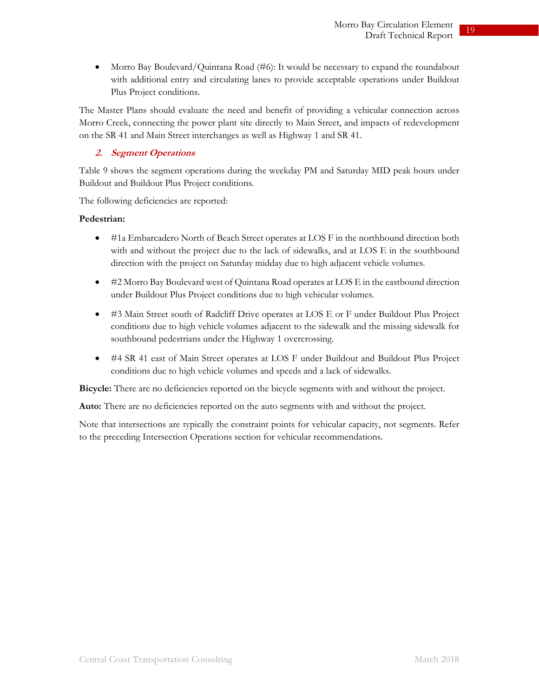Morro Bay Boulevard/Quintana Road (#6): It would be necessary to expand the roundabout with additional entry and circulating lanes to provide acceptable operations under Buildout Plus Project conditions.

The Master Plans should evaluate the need and benefit of providing a vehicular connection across Morro Creek, connecting the power plant site directly to Main Street, and impacts of redevelopment on the SR 41 and Main Street interchanges as well as Highway 1 and SR 41.

#### **2. Segment Operations**

Table 9 shows the segment operations during the weekday PM and Saturday MID peak hours under Buildout and Buildout Plus Project conditions.

The following deficiencies are reported:

#### **Pedestrian:**

- $\bullet$  #1a Embarcadero North of Beach Street operates at LOS F in the northbound direction both with and without the project due to the lack of sidewalks, and at LOS E in the southbound direction with the project on Saturday midday due to high adjacent vehicle volumes.
- #2 Morro Bay Boulevard west of Quintana Road operates at LOS E in the eastbound direction under Buildout Plus Project conditions due to high vehicular volumes.
- #3 Main Street south of Radcliff Drive operates at LOS E or F under Buildout Plus Project conditions due to high vehicle volumes adjacent to the sidewalk and the missing sidewalk for southbound pedestrians under the Highway 1 overcrossing.
- #4 SR 41 east of Main Street operates at LOS F under Buildout and Buildout Plus Project conditions due to high vehicle volumes and speeds and a lack of sidewalks.

**Bicycle:** There are no deficiencies reported on the bicycle segments with and without the project.

**Auto:** There are no deficiencies reported on the auto segments with and without the project.

Note that intersections are typically the constraint points for vehicular capacity, not segments. Refer to the preceding Intersection Operations section for vehicular recommendations.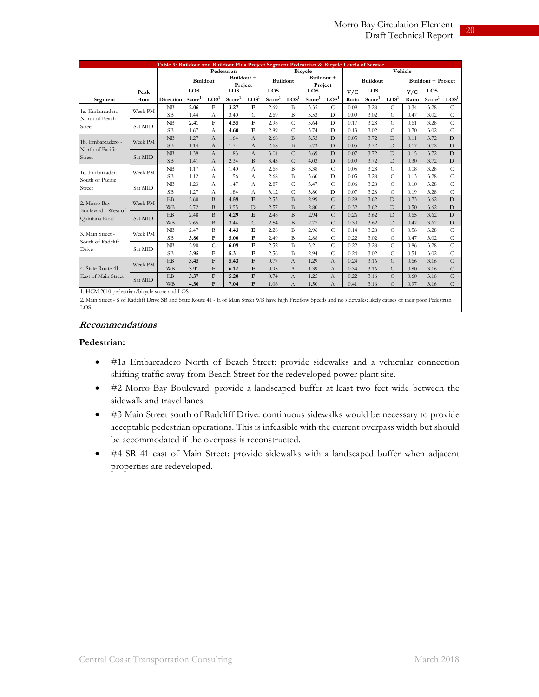|                                                                                                                                                                     |         |                |                    |                 |                       |                |                    |                 |                       |                |       | Table 9: Buildout and Buildout Plus Project Segment Pedestrian & Bicycle Levels of Service |                |       |                    |                |  |  |  |  |  |
|---------------------------------------------------------------------------------------------------------------------------------------------------------------------|---------|----------------|--------------------|-----------------|-----------------------|----------------|--------------------|-----------------|-----------------------|----------------|-------|--------------------------------------------------------------------------------------------|----------------|-------|--------------------|----------------|--|--|--|--|--|
|                                                                                                                                                                     |         |                |                    |                 | Pedestrian            |                |                    |                 | <b>Bicycle</b>        |                |       |                                                                                            | Vehicle        |       |                    |                |  |  |  |  |  |
|                                                                                                                                                                     |         |                |                    | <b>Buildout</b> | Buildout +<br>Project |                |                    | <b>Buildout</b> | Buildout +<br>Project |                |       | <b>Buildout</b>                                                                            |                |       | Buildout + Project |                |  |  |  |  |  |
|                                                                                                                                                                     | Peak    |                | LOS                |                 | LOS                   |                | LOS                |                 | LOS                   |                | V/C   | LOS                                                                                        |                | V/C   | LOS                |                |  |  |  |  |  |
| Segment                                                                                                                                                             | Hour    | Direction      | Score <sup>1</sup> | $\text{LOS}^1$  | Score <sup>1</sup>    | $\text{LOS}^1$ | Score <sup>1</sup> | $\text{LOS}^1$  | Score <sup>1</sup>    | $\text{LOS}^1$ | Ratio | Score <sup>1</sup>                                                                         | $\text{LOS}^1$ | Ratio | Score <sup>1</sup> | $\text{LOS}^1$ |  |  |  |  |  |
| 1a. Embarcadero -                                                                                                                                                   | Week PM | NB             | 2.06               | F               | 3.27                  | F              | 2.69               | B               | 3.35                  | $\overline{C}$ | 0.09  | 3.28                                                                                       | $\mathcal{C}$  | 0.34  | 3.28               | $\mathcal{C}$  |  |  |  |  |  |
| North of Beach                                                                                                                                                      |         | <b>SB</b>      | 1.44               | А               | 3.40                  | C              | 2.69               | B               | 3.53                  | D              | 0.09  | 3.02                                                                                       | C              | 0.47  | 3.02               | C              |  |  |  |  |  |
|                                                                                                                                                                     |         | NB             | 2.41               | $\mathbf{F}$    | 4.55                  | F              | 2.98               | C               | 3.64                  | D              | 0.17  | 3.28                                                                                       | $\overline{C}$ | 0.61  | 3.28               | $\mathcal{C}$  |  |  |  |  |  |
| Street                                                                                                                                                              | Sat MID | <b>SB</b>      | 1.67               | А               | 4.60                  | E              | 2.89               | C               | 3.74                  | D              | 0.13  | 3.02                                                                                       | C              | 0.70  | 3.02               | C              |  |  |  |  |  |
|                                                                                                                                                                     |         | NB             | 1.27               | A               | 1.64                  | $\Lambda$      | 2.68               | $\mathbf{B}$    | 3.53                  | D              | 0.05  | 3.72                                                                                       | D              | 0.11  | 3.72               | D              |  |  |  |  |  |
| 1b. Embarcadero -                                                                                                                                                   | Week PM | SB             | 1.14               | $\Lambda$       | 1.74                  | A              | 2.68               | $\mathbf{B}$    | 3.73                  | D              | 0.05  | 3.72                                                                                       | D              | 0.17  | 3.72               | D              |  |  |  |  |  |
| North of Pacific                                                                                                                                                    |         | NB             | 1.39               | A               | 1.83                  | A              | 3.04               | $\mathcal{C}$   | 3.69                  | D              | 0.07  | 3.72                                                                                       | D              | 0.15  | 3.72               | D              |  |  |  |  |  |
| Street                                                                                                                                                              | Sat MID | <b>SB</b>      | 1.41               | A               | 2.34                  | B              | 3.43               | $\mathsf{C}$    | 4.03                  | D              | 0.09  | 3.72                                                                                       | D              | 0.30  | 3.72               | D              |  |  |  |  |  |
|                                                                                                                                                                     |         | NB             | 1.17               | А               | 1.40                  | А              | 2.68               | B               | 3.38                  | C              | 0.05  | 3.28                                                                                       | C              | 0.08  | 3.28               | $\mathsf{C}$   |  |  |  |  |  |
| 1c. Embarcadero -                                                                                                                                                   | Week PM | <b>SB</b>      | 1.12               | А               | 1.56                  | А              | 2.68               | B               | 3.60                  | D              | 0.05  | 3.28                                                                                       | C              | 0.13  | 3.28               | $\mathsf{C}$   |  |  |  |  |  |
| South of Pacific                                                                                                                                                    | Sat MID | NB             | 1.23               | A               | 1.47                  | A              | 2.87               | C               | 3.47                  | C              | 0.06  | 3.28                                                                                       | $\overline{C}$ | 0.10  | 3.28               | $\mathcal{C}$  |  |  |  |  |  |
| Street                                                                                                                                                              |         | <b>SB</b>      | 1.27               | А               | 1.84                  | А              | 3.12               | C               | 3.80                  | D              | 0.07  | 3.28                                                                                       | C              | 0.19  | 3.28               | C              |  |  |  |  |  |
|                                                                                                                                                                     |         | E <sub>B</sub> | 2.60               | $\mathbf{B}$    | 4.59                  | E              | 2.53               | $\overline{B}$  | 2.99                  | $\overline{C}$ | 0.29  | 3.62                                                                                       | D              | 0.73  | 3.62               | D              |  |  |  |  |  |
| 2. Morro Bay                                                                                                                                                        | Week PM | <b>WB</b>      | 2.72               | B               | 3.55                  | D              | 2.57               | B               | 2.80                  | $\mathcal{C}$  | 0.32  | 3.62                                                                                       | D              | 0.50  | 3.62               | D              |  |  |  |  |  |
| Boulevard - West of                                                                                                                                                 |         | EB             | 2.48               | B               | 4.29                  | E              | 2.48               | $\overline{B}$  | 2.94                  | $\overline{C}$ | 0.26  | 3.62                                                                                       | D              | 0.65  | 3.62               | D              |  |  |  |  |  |
| Quintana Road                                                                                                                                                       | Sat MID | <b>WB</b>      | 2.65               | B               | 3.44                  | $\overline{C}$ | 2.54               | B               | 2.77                  | C              | 0.30  | 3.62                                                                                       | D              | 0.47  | 3.62               | D              |  |  |  |  |  |
|                                                                                                                                                                     |         | NB             | 2.47               | $\mathbf{B}$    | 4.43                  | E              | 2.28               | B               | 2.96                  | $\mathcal{C}$  | 0.14  | 3.28                                                                                       | C              | 0.56  | 3.28               | $\mathcal{C}$  |  |  |  |  |  |
| 3. Main Street -                                                                                                                                                    | Week PM | SB             | 3.80               | F               | 5.00                  | F              | 2.49               | B               | 2.88                  | C              | 0.22  | 3.02                                                                                       | C              | 0.47  | 3.02               | C              |  |  |  |  |  |
| South of Radcliff                                                                                                                                                   |         | NB             | 2.90               | C               | 6.09                  | ${\bf F}$      | 2.52               | B               | 3.21                  | C              | 0.22  | 3.28                                                                                       | C              | 0.86  | 3.28               | $\mathcal{C}$  |  |  |  |  |  |
| Drive                                                                                                                                                               | Sat MID | <b>SB</b>      | 3.95               | F               | 5.31                  | F              | 2.56               | B               | 2.94                  | C              | 0.24  | 3.02                                                                                       | C              | 0.51  | 3.02               | $\mathcal{C}$  |  |  |  |  |  |
|                                                                                                                                                                     |         | EB             | 3.45               | $\mathbf{F}$    | 5.43                  | $\mathbf{F}$   | 0.77               | $\mathcal{A}$   | 1.29                  | $\Lambda$      | 0.24  | 3.16                                                                                       | Ċ              | 0.66  | 3.16               | $\mathcal{C}$  |  |  |  |  |  |
| 4. State Route 41 -                                                                                                                                                 | Week PM | <b>WB</b>      | 3.91               | ${\bf F}$       | 6.12                  | ${\bf F}$      | 0.95               | А               | 1.39                  | А              | 0.34  | 3.16                                                                                       | C              | 0.80  | 3.16               | $\mathsf{C}$   |  |  |  |  |  |
| East of Main Street                                                                                                                                                 |         | EB             | 3.37               | $\mathbf{F}$    | 5.20                  | ${\bf F}$      | 0.74               | A               | 1.25                  | A              | 0.22  | 3.16                                                                                       | $\overline{C}$ | 0.60  | 3.16               | $\mathcal{C}$  |  |  |  |  |  |
|                                                                                                                                                                     | Sat MID | <b>WB</b>      | 4.30               | $\mathbf{F}$    | 7.04                  | F              | 1.06               | А               | 1.50                  | А              | 0.41  | 3.16                                                                                       | C              | 0.97  | 3.16               | C              |  |  |  |  |  |
| 1. HCM 2010 pedestrian/bicycle score and LOS                                                                                                                        |         |                |                    |                 |                       |                |                    |                 |                       |                |       |                                                                                            |                |       |                    |                |  |  |  |  |  |
| 2. Main Street - S of Radcliff Drive SB and State Route 41 - E of Main Street WB have high Freeflow Speeds and no sidewalks; likely causes of their poor Pedestrian |         |                |                    |                 |                       |                |                    |                 |                       |                |       |                                                                                            |                |       |                    |                |  |  |  |  |  |

#### **Recommendations**

#### **Pedestrian:**

LOS.

- #1a Embarcadero North of Beach Street: provide sidewalks and a vehicular connection shifting traffic away from Beach Street for the redeveloped power plant site.
- #2 Morro Bay Boulevard: provide a landscaped buffer at least two feet wide between the sidewalk and travel lanes.
- #3 Main Street south of Radcliff Drive: continuous sidewalks would be necessary to provide acceptable pedestrian operations. This is infeasible with the current overpass width but should be accommodated if the overpass is reconstructed.
- #4 SR 41 east of Main Street: provide sidewalks with a landscaped buffer when adjacent properties are redeveloped.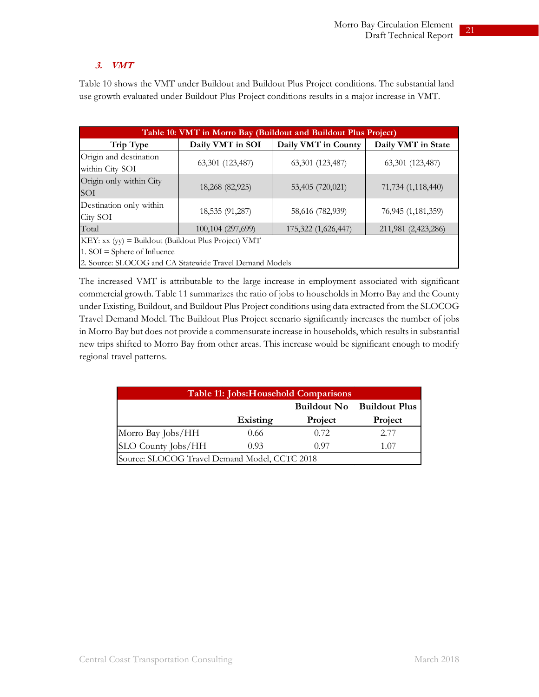#### **3. VMT**

Table 10 shows the VMT under Buildout and Buildout Plus Project conditions. The substantial land use growth evaluated under Buildout Plus Project conditions results in a major increase in VMT.

| Table 10: VMT in Morro Bay (Buildout and Buildout Plus Project) |                   |                     |                     |  |  |
|-----------------------------------------------------------------|-------------------|---------------------|---------------------|--|--|
| Trip Type                                                       | Daily VMT in SOI  | Daily VMT in County | Daily VMT in State  |  |  |
| Origin and destination                                          | 63,301 (123,487)  |                     |                     |  |  |
| within City SOI                                                 |                   | 63,301 (123,487)    | 63,301 (123,487)    |  |  |
| Origin only within City                                         | 18,268 (82,925)   | 53,405 (720,021)    | 71,734 (1,118,440)  |  |  |
| SOI                                                             |                   |                     |                     |  |  |
| Destination only within                                         | 18,535 (91,287)   | 58,616 (782,939)    | 76,945 (1,181,359)  |  |  |
| City SOI                                                        |                   |                     |                     |  |  |
| Total                                                           | 100,104 (297,699) | 175,322 (1,626,447) | 211,981 (2,423,286) |  |  |
| $K EY: xx (yy) = Buildout (Buildout Plus Project) VMT$          |                   |                     |                     |  |  |
| $1. SOI = Sphere of Influence$                                  |                   |                     |                     |  |  |
| 2. Source: SLOCOG and CA Statewide Travel Demand Models         |                   |                     |                     |  |  |

The increased VMT is attributable to the large increase in employment associated with significant commercial growth. Table 11 summarizes the ratio of jobs to households in Morro Bay and the County under Existing, Buildout, and Buildout Plus Project conditions using data extracted from the SLOCOG Travel Demand Model. The Buildout Plus Project scenario significantly increases the number of jobs in Morro Bay but does not provide a commensurate increase in households, which results in substantial new trips shifted to Morro Bay from other areas. This increase would be significant enough to modify regional travel patterns.

| Table 11: Jobs: Household Comparisons         |          |                    |                      |  |
|-----------------------------------------------|----------|--------------------|----------------------|--|
|                                               |          | <b>Buildout No</b> | <b>Buildout Plus</b> |  |
|                                               | Existing | Project            | Project              |  |
| Morro Bay Jobs/HH                             | 0.66     | 0.72               | 2.77                 |  |
| SLO County Jobs/HH                            | 0.93     | 0.97               | 1 07                 |  |
| Source: SLOCOG Travel Demand Model, CCTC 2018 |          |                    |                      |  |